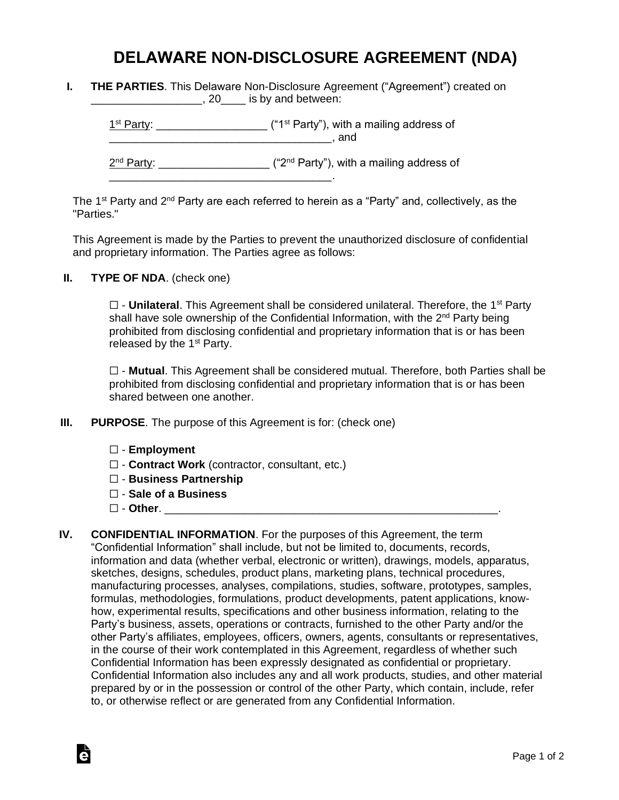## **DELAWARE NON-DISCLOSURE AGREEMENT (NDA)**

**I. THE PARTIES**. This Delaware Non-Disclosure Agreement ("Agreement") created on \_\_\_\_\_\_\_\_\_\_\_\_\_\_\_\_\_\_, 20\_\_\_\_ is by and between:

 $1<sup>st</sup> Party: _______$  $\blacksquare$  and

2<sup>nd</sup> Party: \_\_\_\_\_\_\_\_\_\_\_\_\_\_\_\_\_\_\_\_ ("2<sup>nd</sup> Party"), with a mailing address of \_\_\_\_\_\_\_\_\_\_\_\_\_\_\_\_\_\_\_\_\_\_\_\_\_\_\_\_\_\_\_\_\_\_\_\_.

The 1<sup>st</sup> Party and 2<sup>nd</sup> Party are each referred to herein as a "Party" and, collectively, as the "Parties."

This Agreement is made by the Parties to prevent the unauthorized disclosure of confidential and proprietary information. The Parties agree as follows:

**II. TYPE OF NDA**. (check one)

□ - **Unilateral**. This Agreement shall be considered unilateral. Therefore, the 1<sup>st</sup> Party shall have sole ownership of the Confidential Information, with the 2<sup>nd</sup> Party being prohibited from disclosing confidential and proprietary information that is or has been released by the  $1<sup>st</sup>$  Party.

☐ - **Mutual**. This Agreement shall be considered mutual. Therefore, both Parties shall be prohibited from disclosing confidential and proprietary information that is or has been shared between one another.

- **III. PURPOSE**. The purpose of this Agreement is for: (check one)
	- ☐ **Employment**
	- ☐ **Contract Work** (contractor, consultant, etc.)
	- ☐ **Business Partnership**
	- ☐ **Sale of a Business**
	- ☐ **Other**. \_\_\_\_\_\_\_\_\_\_\_\_\_\_\_\_\_\_\_\_\_\_\_\_\_\_\_\_\_\_\_\_\_\_\_\_\_\_\_\_\_\_\_\_\_\_\_\_\_\_\_\_\_\_.

Ġ

**IV. CONFIDENTIAL INFORMATION**. For the purposes of this Agreement, the term "Confidential Information" shall include, but not be limited to, documents, records, information and data (whether verbal, electronic or written), drawings, models, apparatus, sketches, designs, schedules, product plans, marketing plans, technical procedures, manufacturing processes, analyses, compilations, studies, software, prototypes, samples, formulas, methodologies, formulations, product developments, patent applications, knowhow, experimental results, specifications and other business information, relating to the Party's business, assets, operations or contracts, furnished to the other Party and/or the other Party's affiliates, employees, officers, owners, agents, consultants or representatives, in the course of their work contemplated in this Agreement, regardless of whether such Confidential Information has been expressly designated as confidential or proprietary. Confidential Information also includes any and all work products, studies, and other material prepared by or in the possession or control of the other Party, which contain, include, refer to, or otherwise reflect or are generated from any Confidential Information.